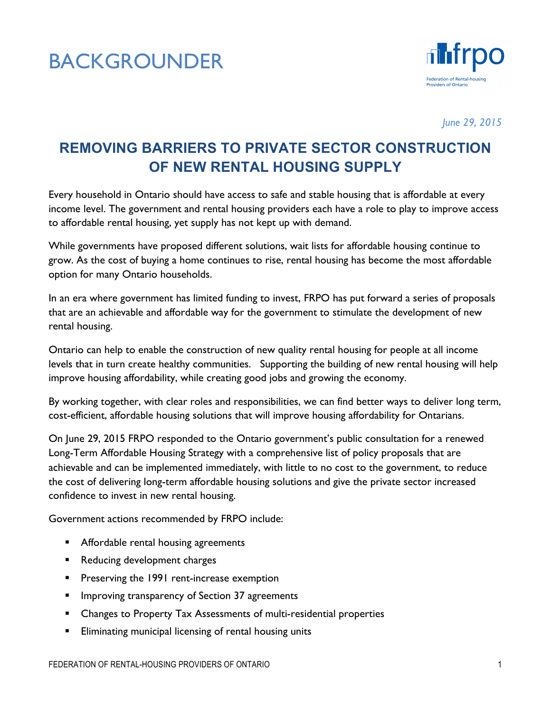# BACKGROUNDER



*June 29, 2015*

# **REMOVING BARRIERS TO PRIVATE SECTOR CONSTRUCTION OF NEW RENTAL HOUSING SUPPLY**

Every household in Ontario should have access to safe and stable housing that is affordable at every income level. The government and rental housing providers each have a role to play to improve access to affordable rental housing, yet supply has not kept up with demand.

While governments have proposed different solutions, wait lists for affordable housing continue to grow. As the cost of buying a home continues to rise, rental housing has become the most affordable option for many Ontario households.

In an era where government has limited funding to invest, FRPO has put forward a series of proposals that are an achievable and affordable way for the government to stimulate the development of new rental housing.

Ontario can help to enable the construction of new quality rental housing for people at all income levels that in turn create healthy communities. Supporting the building of new rental housing will help improve housing affordability, while creating good jobs and growing the economy.

By working together, with clear roles and responsibilities, we can find better ways to deliver long term, cost-efficient, affordable housing solutions that will improve housing affordability for Ontarians.

On June 29, 2015 FRPO responded to the Ontario government's public consultation for a renewed Long-Term Affordable Housing Strategy with a comprehensive list of policy proposals that are achievable and can be implemented immediately, with little to no cost to the government, to reduce the cost of delivering long-term affordable housing solutions and give the private sector increased confidence to invest in new rental housing.

Government actions recommended by FRPO include:

- Affordable rental housing agreements
- Reducing development charges
- **•** Preserving the 1991 rent-increase exemption
- Improving transparency of Section 37 agreements
- Changes to Property Tax Assessments of multi-residential properties
- **Eliminating municipal licensing of rental housing units**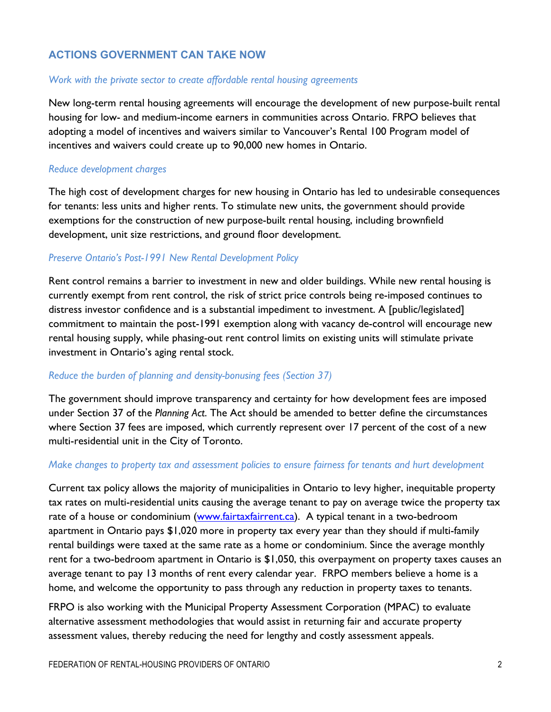### **ACTIONS GOVERNMENT CAN TAKE NOW**

#### *Work with the private sector to create affordable rental housing agreements*

New long-term rental housing agreements will encourage the development of new purpose-built rental housing for low- and medium-income earners in communities across Ontario. FRPO believes that adopting a model of incentives and waivers similar to Vancouver's Rental 100 Program model of incentives and waivers could create up to 90,000 new homes in Ontario.

#### *Reduce development charges*

The high cost of development charges for new housing in Ontario has led to undesirable consequences for tenants: less units and higher rents. To stimulate new units, the government should provide exemptions for the construction of new purpose-built rental housing, including brownfield development, unit size restrictions, and ground floor development.

#### *Preserve Ontario's Post-1991 New Rental Development Policy*

Rent control remains a barrier to investment in new and older buildings. While new rental housing is currently exempt from rent control, the risk of strict price controls being re-imposed continues to distress investor confidence and is a substantial impediment to investment. A [public/legislated] commitment to maintain the post-1991 exemption along with vacancy de-control will encourage new rental housing supply, while phasing-out rent control limits on existing units will stimulate private investment in Ontario's aging rental stock.

#### *Reduce the burden of planning and density-bonusing fees (Section 37)*

The government should improve transparency and certainty for how development fees are imposed under Section 37 of the *Planning Act*. The Act should be amended to better define the circumstances where Section 37 fees are imposed, which currently represent over 17 percent of the cost of a new multi-residential unit in the City of Toronto.

#### *Make changes to property tax and assessment policies to ensure fairness for tenants and hurt development*

Current tax policy allows the majority of municipalities in Ontario to levy higher, inequitable property tax rates on multi-residential units causing the average tenant to pay on average twice the property tax rate of a house or condominium (www.fairtaxfairrent.ca). A typical tenant in a two-bedroom apartment in Ontario pays \$1,020 more in property tax every year than they should if multi-family rental buildings were taxed at the same rate as a home or condominium. Since the average monthly rent for a two-bedroom apartment in Ontario is \$1,050, this overpayment on property taxes causes an average tenant to pay 13 months of rent every calendar year. FRPO members believe a home is a home, and welcome the opportunity to pass through any reduction in property taxes to tenants.

FRPO is also working with the Municipal Property Assessment Corporation (MPAC) to evaluate alternative assessment methodologies that would assist in returning fair and accurate property assessment values, thereby reducing the need for lengthy and costly assessment appeals.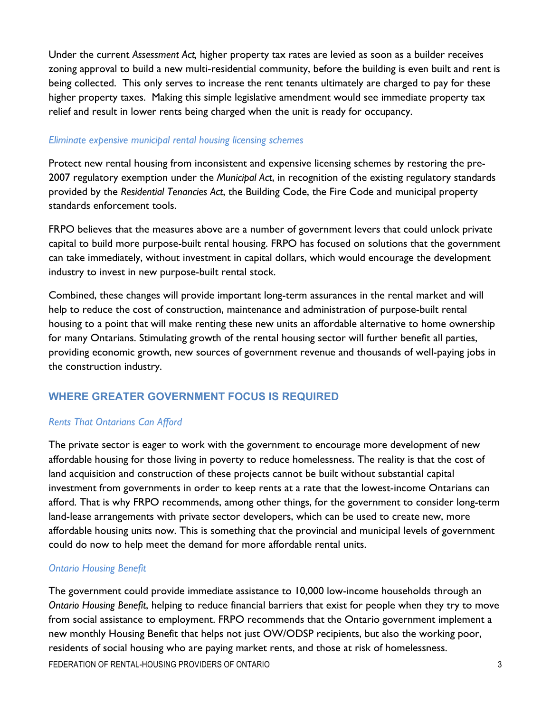Under the current *Assessment Act,* higher property tax rates are levied as soon as a builder receives zoning approval to build a new multi-residential community, before the building is even built and rent is being collected. This only serves to increase the rent tenants ultimately are charged to pay for these higher property taxes. Making this simple legislative amendment would see immediate property tax relief and result in lower rents being charged when the unit is ready for occupancy.

#### *Eliminate expensive municipal rental housing licensing schemes*

Protect new rental housing from inconsistent and expensive licensing schemes by restoring the pre-2007 regulatory exemption under the *Municipal Act*, in recognition of the existing regulatory standards provided by the *Residential Tenancies Act*, the Building Code, the Fire Code and municipal property standards enforcement tools.

FRPO believes that the measures above are a number of government levers that could unlock private capital to build more purpose-built rental housing. FRPO has focused on solutions that the government can take immediately, without investment in capital dollars, which would encourage the development industry to invest in new purpose-built rental stock.

Combined, these changes will provide important long-term assurances in the rental market and will help to reduce the cost of construction, maintenance and administration of purpose-built rental housing to a point that will make renting these new units an affordable alternative to home ownership for many Ontarians. Stimulating growth of the rental housing sector will further benefit all parties, providing economic growth, new sources of government revenue and thousands of well-paying jobs in the construction industry.

# **WHERE GREATER GOVERNMENT FOCUS IS REQUIRED**

# *Rents That Ontarians Can Afford*

The private sector is eager to work with the government to encourage more development of new affordable housing for those living in poverty to reduce homelessness. The reality is that the cost of land acquisition and construction of these projects cannot be built without substantial capital investment from governments in order to keep rents at a rate that the lowest-income Ontarians can afford. That is why FRPO recommends, among other things, for the government to consider long-term land-lease arrangements with private sector developers, which can be used to create new, more affordable housing units now. This is something that the provincial and municipal levels of government could do now to help meet the demand for more affordable rental units.

# *Ontario Housing Benefit*

FEDERATION OF RENTAL-HOUSING PROVIDERS OF ONTARIO 3 The government could provide immediate assistance to 10,000 low-income households through an *Ontario Housing Benefit*, helping to reduce financial barriers that exist for people when they try to move from social assistance to employment. FRPO recommends that the Ontario government implement a new monthly Housing Benefit that helps not just OW/ODSP recipients, but also the working poor, residents of social housing who are paying market rents, and those at risk of homelessness.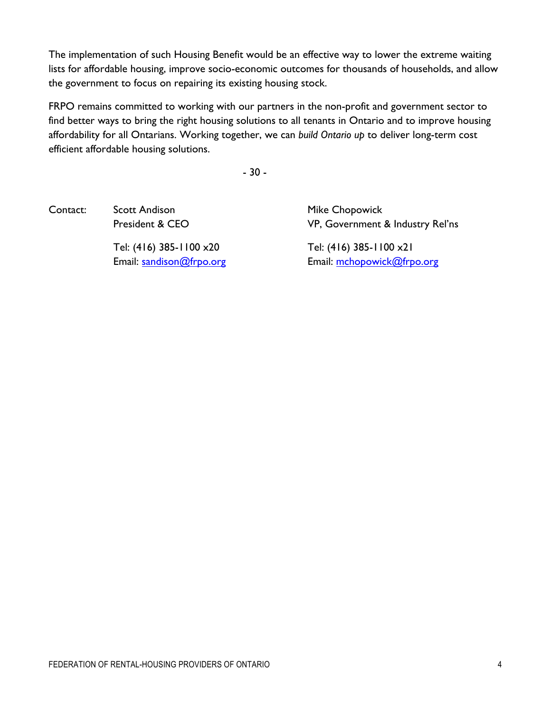The implementation of such Housing Benefit would be an effective way to lower the extreme waiting lists for affordable housing, improve socio-economic outcomes for thousands of households, and allow the government to focus on repairing its existing housing stock.

FRPO remains committed to working with our partners in the non-profit and government sector to find better ways to bring the right housing solutions to all tenants in Ontario and to improve housing affordability for all Ontarians. Working together, we can *build Ontario up* to deliver long-term cost efficient affordable housing solutions.

- 30 -

Contact: Scott Andison Mike Chopowick

Tel: (416) 385-1100 x20 Tel: (416) 385-1100 x21

President & CEO VP, Government & Industry Rel'ns

Email: sandison@frpo.org Email: mchopowick@frpo.org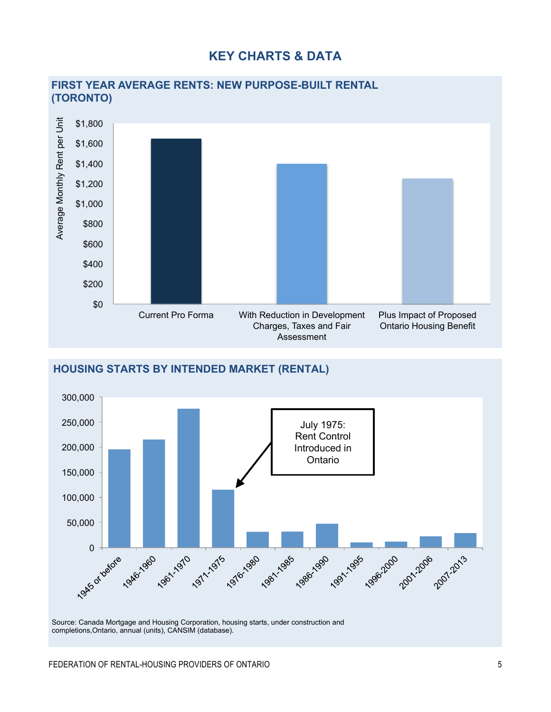# **KEY CHARTS & DATA**



# **FIRST YEAR AVERAGE RENTS: NEW PURPOSE-BUILT RENTAL**



Source: Canada Mortgage and Housing Corporation, housing starts, under construction and completions,Ontario, annual (units), CANSIM (database).